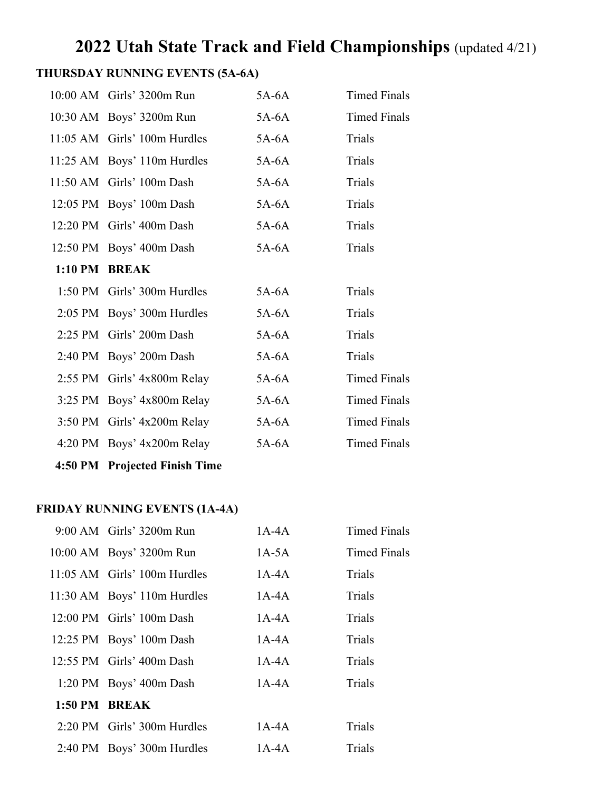# **2022 Utah State Track and Field Championships** (updated 4/21)

# **THURSDAY RUNNING EVENTS (5A-6A)**

| 10:00 AM Girls' 3200m Run     | $5A-6A$ | <b>Timed Finals</b> |
|-------------------------------|---------|---------------------|
| 10:30 AM Boys' 3200m Run      | 5A-6A   | <b>Timed Finals</b> |
| 11:05 AM Girls' 100m Hurdles  | $5A-6A$ | Trials              |
| 11:25 AM Boys' 110m Hurdles   | $5A-6A$ | Trials              |
| 11:50 AM Girls' 100m Dash     | $5A-6A$ | Trials              |
| 12:05 PM Boys' 100m Dash      | 5A-6A   | Trials              |
| 12:20 PM Girls' 400m Dash     | $5A-6A$ | Trials              |
| 12:50 PM Boys' 400m Dash      | $5A-6A$ | Trials              |
| 1:10 PM BREAK                 |         |                     |
| 1:50 PM Girls' 300m Hurdles   | $5A-6A$ | Trials              |
| 2:05 PM Boys' 300m Hurdles    | $5A-6A$ | Trials              |
| 2:25 PM Girls' 200m Dash      | $5A-6A$ | Trials              |
| 2:40 PM Boys' 200m Dash       | $5A-6A$ | Trials              |
| 2:55 PM Girls' 4x800m Relay   | $5A-6A$ | <b>Timed Finals</b> |
| 3:25 PM Boys' 4x800m Relay    | 5A-6A   | <b>Timed Finals</b> |
| 3:50 PM Girls' 4x200m Relay   | $5A-6A$ | <b>Timed Finals</b> |
| 4:20 PM Boys' 4x200m Relay    | $5A-6A$ | <b>Timed Finals</b> |
| 4:50 PM Projected Finish Time |         |                     |

## **FRIDAY RUNNING EVENTS (1A-4A)**

|               | 9:00 AM Girls' 3200m Run     | $1A-4A$   | <b>Timed Finals</b> |
|---------------|------------------------------|-----------|---------------------|
|               | 10:00 AM Boys' 3200m Run     | $1A-5A$   | Timed Finals        |
|               | 11:05 AM Girls' 100m Hurdles | $1A-4A$   | Trials              |
|               | 11:30 AM Boys' 110m Hurdles  | $1A-4A$   | Trials              |
|               | 12:00 PM Girls' 100m Dash    | $1A-4A$   | Trials              |
|               | 12:25 PM Boys' 100m Dash     | $1A-4A$   | Trials              |
|               | $12:55$ PM Girls' 400m Dash  | 1A-4A     | Trials              |
|               | 1:20 PM Boys' 400m Dash      | $1A-4A$   | Trials              |
| 1:50 PM BREAK |                              |           |                     |
|               | 2:20 PM Girls' 300m Hurdles  | $1A-4A$   | Trials              |
|               | 2:40 PM Boys' 300m Hurdles   | 1 A - 4 A | Trials              |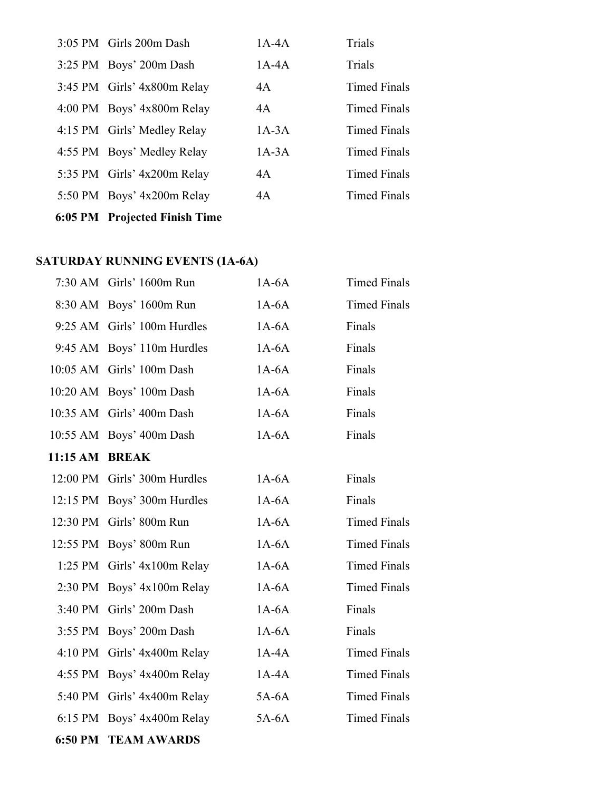| 6:05 PM Projected Finish Time |         |                     |
|-------------------------------|---------|---------------------|
| 5:50 PM Boys' 4x200m Relay    | 4A      | Timed Finals        |
| 5:35 PM Girls' 4x200m Relay   | 4A      | Timed Finals        |
| 4:55 PM Boys' Medley Relay    | $1A-3A$ | Timed Finals        |
| 4:15 PM Girls' Medley Relay   | $1A-3A$ | <b>Timed Finals</b> |
| 4:00 PM Boys' 4x800m Relay    | 4A      | Timed Finals        |
| 3:45 PM Girls' 4x800m Relay   | 4A      | Timed Finals        |
| 3:25 PM Boys' 200m Dash       | $1A-4A$ | Trials              |
| 3:05 PM Girls 200m Dash       | $1A-4A$ | Trials              |

# **SATURDAY RUNNING EVENTS (1A-6A)**

|                       | 7:30 AM Girls' 1600m Run     | $1A-6A$ | <b>Timed Finals</b> |
|-----------------------|------------------------------|---------|---------------------|
|                       | 8:30 AM Boys' 1600m Run      | $1A-6A$ | <b>Timed Finals</b> |
|                       | 9:25 AM Girls' 100m Hurdles  | $1A-6A$ | Finals              |
|                       | 9:45 AM Boys' 110m Hurdles   | $1A-6A$ | Finals              |
|                       | 10:05 AM Girls' 100m Dash    | $1A-6A$ | Finals              |
|                       | 10:20 AM Boys' 100m Dash     | $1A-6A$ | Finals              |
|                       | 10:35 AM Girls' 400m Dash    | $1A-6A$ | Finals              |
|                       | 10:55 AM Boys' 400m Dash     | $1A-6A$ | Finals              |
| <b>11:15 AM BREAK</b> |                              |         |                     |
|                       | 12:00 PM Girls' 300m Hurdles | $1A-6A$ | Finals              |
|                       | 12:15 PM Boys' 300m Hurdles  | $1A-6A$ | Finals              |
|                       | 12:30 PM Girls' 800m Run     | $1A-6A$ | <b>Timed Finals</b> |
|                       | 12:55 PM Boys' 800m Run      | $1A-6A$ | <b>Timed Finals</b> |
|                       | 1:25 PM Girls' 4x100m Relay  | $1A-6A$ | <b>Timed Finals</b> |
|                       | 2:30 PM Boys' 4x100m Relay   | $1A-6A$ | <b>Timed Finals</b> |
|                       | 3:40 PM Girls' 200m Dash     | $1A-6A$ | Finals              |
|                       | 3:55 PM Boys' 200m Dash      | $1A-6A$ | Finals              |
|                       | 4:10 PM Girls' 4x400m Relay  | $1A-4A$ | <b>Timed Finals</b> |
|                       | 4:55 PM Boys' 4x400m Relay   | $1A-4A$ | <b>Timed Finals</b> |
|                       | 5:40 PM Girls' 4x400m Relay  | $5A-6A$ | <b>Timed Finals</b> |
|                       | 6:15 PM Boys' 4x400m Relay   | $5A-6A$ | <b>Timed Finals</b> |
|                       | <b>6:50 PM TEAM AWARDS</b>   |         |                     |